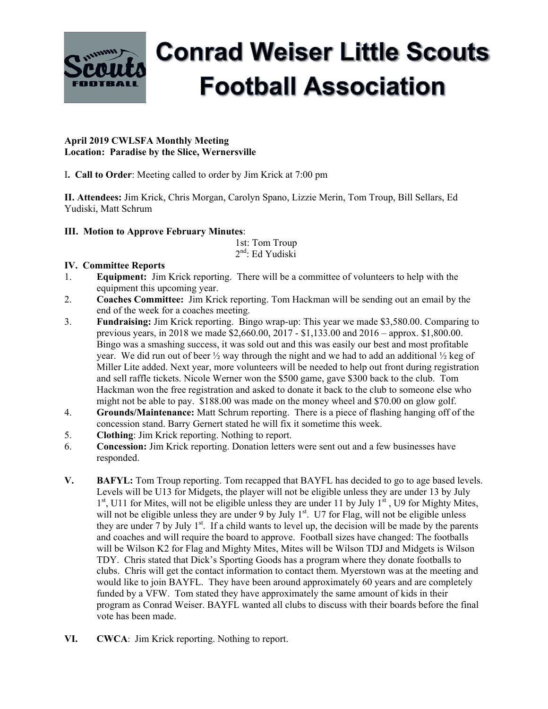

# **Conrad Weiser Little Scouts Football Association**

### **April 2019 CWLSFA Monthly Meeting Location: Paradise by the Slice, Wernersville**

I**. Call to Order**: Meeting called to order by Jim Krick at 7:00 pm

**II. Attendees:** Jim Krick, Chris Morgan, Carolyn Spano, Lizzie Merin, Tom Troup, Bill Sellars, Ed Yudiski, Matt Schrum

## **III. Motion to Approve February Minutes**:

 1st: Tom Troup 2nd: Ed Yudiski

## **IV. Committee Reports**

- 1. **Equipment:** Jim Krick reporting. There will be a committee of volunteers to help with the equipment this upcoming year.
- 2. **Coaches Committee:** Jim Krick reporting. Tom Hackman will be sending out an email by the end of the week for a coaches meeting.
- 3. **Fundraising:** Jim Krick reporting. Bingo wrap-up: This year we made \$3,580.00. Comparing to previous years, in 2018 we made \$2,660.00, 2017 - \$1,133.00 and 2016 – approx. \$1,800.00. Bingo was a smashing success, it was sold out and this was easily our best and most profitable year. We did run out of beer  $\frac{1}{2}$  way through the night and we had to add an additional  $\frac{1}{2}$  keg of Miller Lite added. Next year, more volunteers will be needed to help out front during registration and sell raffle tickets. Nicole Werner won the \$500 game, gave \$300 back to the club. Tom Hackman won the free registration and asked to donate it back to the club to someone else who might not be able to pay. \$188.00 was made on the money wheel and \$70.00 on glow golf.
- 4. **Grounds/Maintenance:** Matt Schrum reporting. There is a piece of flashing hanging off of the concession stand. Barry Gernert stated he will fix it sometime this week.
- 5. **Clothing**: Jim Krick reporting. Nothing to report.
- 6. **Concession:** Jim Krick reporting. Donation letters were sent out and a few businesses have responded.
- **V. BAFYL:** Tom Troup reporting. Tom recapped that BAYFL has decided to go to age based levels. Levels will be U13 for Midgets, the player will not be eligible unless they are under 13 by July  $1<sup>st</sup>$ , U11 for Mites, will not be eligible unless they are under 11 by July  $1<sup>st</sup>$ , U9 for Mighty Mites, will not be eligible unless they are under 9 by July  $1<sup>st</sup>$ . U7 for Flag, will not be eligible unless they are under 7 by July  $1<sup>st</sup>$ . If a child wants to level up, the decision will be made by the parents and coaches and will require the board to approve. Football sizes have changed: The footballs will be Wilson K2 for Flag and Mighty Mites, Mites will be Wilson TDJ and Midgets is Wilson TDY. Chris stated that Dick's Sporting Goods has a program where they donate footballs to clubs. Chris will get the contact information to contact them. Myerstown was at the meeting and would like to join BAYFL. They have been around approximately 60 years and are completely funded by a VFW. Tom stated they have approximately the same amount of kids in their program as Conrad Weiser. BAYFL wanted all clubs to discuss with their boards before the final vote has been made.
- **VI. CWCA**: Jim Krick reporting. Nothing to report.